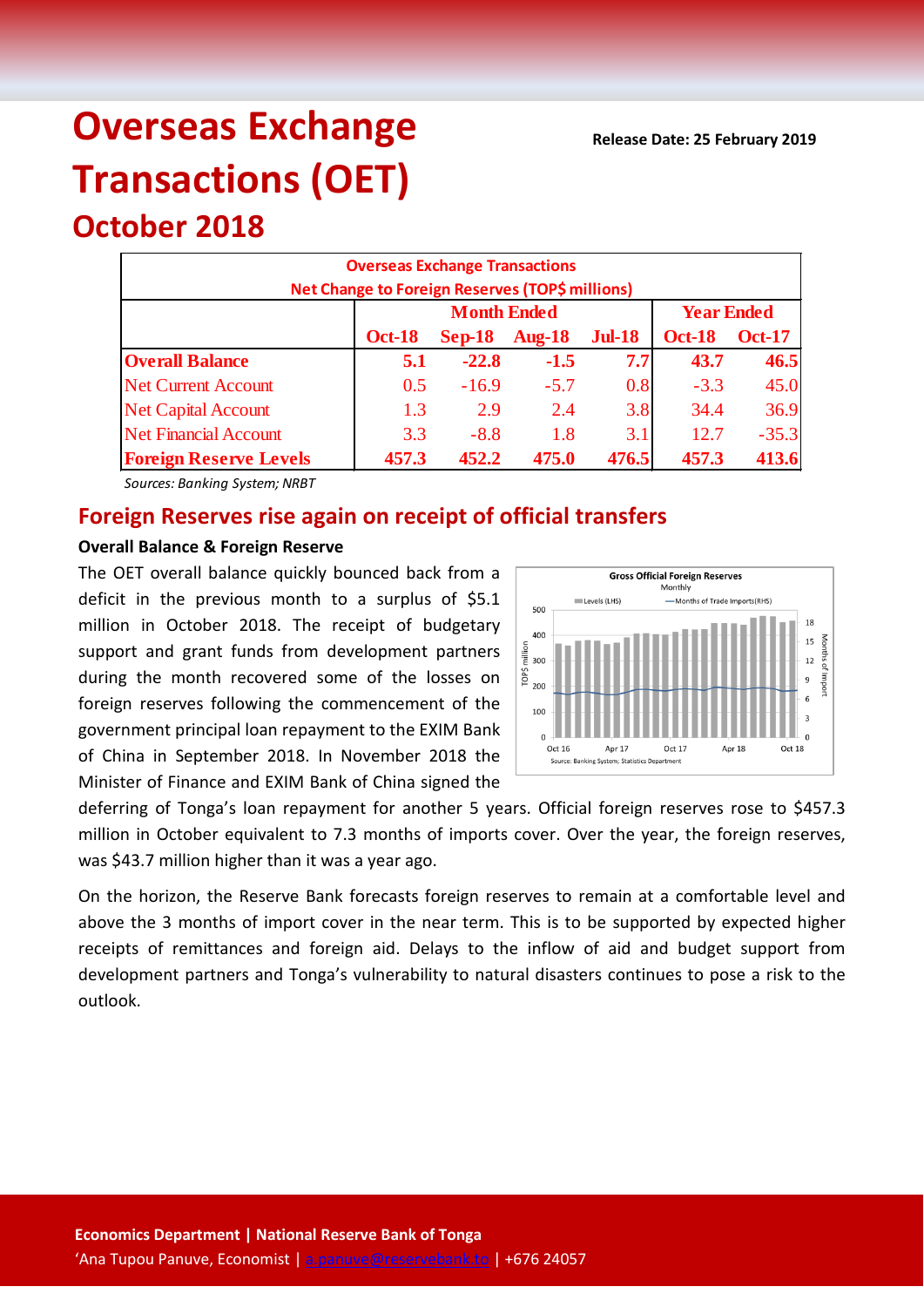# **Overseas Exchange Transactions (OET)**

## **October 2018**

| <b>Overseas Exchange Transactions</b><br>Net Change to Foreign Reserves (TOP\$ millions) |               |                    |                   |               |               |               |  |
|------------------------------------------------------------------------------------------|---------------|--------------------|-------------------|---------------|---------------|---------------|--|
|                                                                                          |               | <b>Month Ended</b> | <b>Year Ended</b> |               |               |               |  |
|                                                                                          | <b>Oct-18</b> | $Sep-18$           | <b>Aug-18</b>     | <b>Jul-18</b> | <b>Oct-18</b> | <b>Oct-17</b> |  |
| <b>Overall Balance</b>                                                                   | 5.1           | $-22.8$            | $-1.5$            | 7.7           | 43.7          | 46.5          |  |
| <b>Net Current Account</b>                                                               | 0.5           | $-16.9$            | $-5.7$            | 0.8           | $-3.3$        | 45.0          |  |
| <b>Net Capital Account</b>                                                               | 1.3           | 2.9                | 2.4               | 3.8           | 34.4          | 36.9          |  |
| <b>Net Financial Account</b>                                                             | 3.3           | $-8.8$             | 1.8               | 3.1           | 12.7          | $-35.3$       |  |
| <b>Foreign Reserve Levels</b>                                                            | 457.3         | 452.2              | 475.0             | 476.5         | 457.3         | 413.6         |  |

*Sources: Banking System; NRBT*

### **Foreign Reserves rise again on receipt of official transfers**

#### **Overall Balance & Foreign Reserve**

The OET overall balance quickly bounced back from a deficit in the previous month to a surplus of \$5.1 million in October 2018. The receipt of budgetary support and grant funds from development partners during the month recovered some of the losses on foreign reserves following the commencement of the government principal loan repayment to the EXIM Bank of China in September 2018. In November 2018 the Minister of Finance and EXIM Bank of China signed the



deferring of Tonga's loan repayment for another 5 years. Official foreign reserves rose to \$457.3 million in October equivalent to 7.3 months of imports cover. Over the year, the foreign reserves, was \$43.7 million higher than it was a year ago.

On the horizon, the Reserve Bank forecasts foreign reserves to remain at a comfortable level and above the 3 months of import cover in the near term. This is to be supported by expected higher receipts of remittances and foreign aid. Delays to the inflow of aid and budget support from development partners and Tonga's vulnerability to natural disasters continues to pose a risk to the outlook.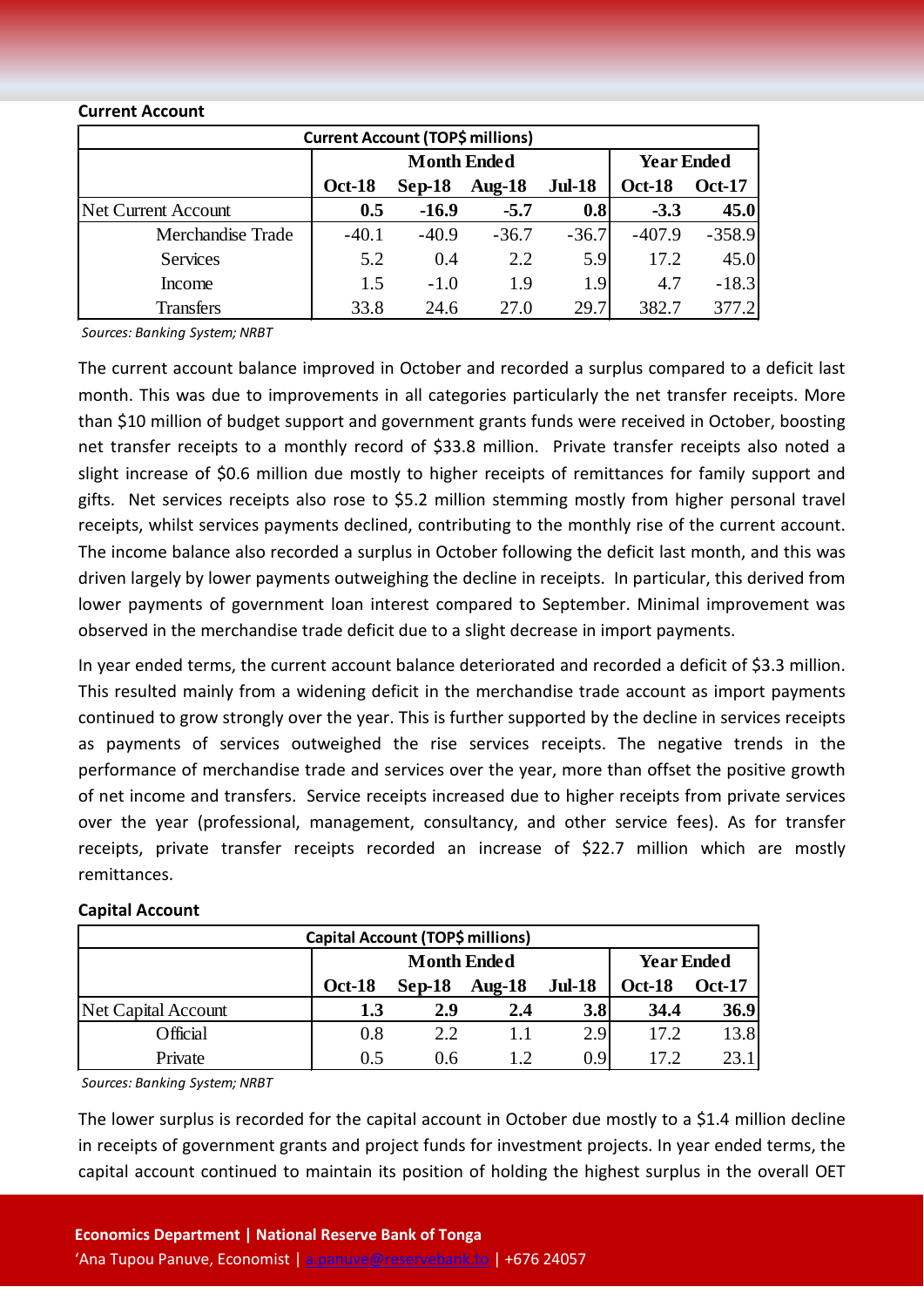#### **Current Account**

| <b>Current Account (TOP\$ millions)</b> |                    |          |           |               |                   |               |  |  |
|-----------------------------------------|--------------------|----------|-----------|---------------|-------------------|---------------|--|--|
|                                         | <b>Month Ended</b> |          |           |               | <b>Year Ended</b> |               |  |  |
|                                         | <b>Oct-18</b>      | $Sep-18$ | Aug- $18$ | <b>Jul-18</b> | <b>Oct-18</b>     | <b>Oct-17</b> |  |  |
| Net Current Account                     | 0.5                | $-16.9$  | $-5.7$    | 0.8           | $-3.3$            | 45.0          |  |  |
| Merchandise Trade                       | $-40.1$            | $-40.9$  | $-36.7$   | $-36.7$       | $-407.9$          | $-358.9$      |  |  |
| <b>Services</b>                         | 5.2                | 0.4      | 2.2       | 5.9           | 17.2              | 45.0          |  |  |
| Income                                  | 1.5                | $-1.0$   | 1.9       | 1.9           | 4.7               | $-18.3$       |  |  |
| <b>Transfers</b>                        | 33.8               | 24.6     | 27.0      | 29.7          | 382.7             | 377.2         |  |  |

*Sources: Banking System; NRBT*

The current account balance improved in October and recorded a surplus compared to a deficit last month. This was due to improvements in all categories particularly the net transfer receipts. More than \$10 million of budget support and government grants funds were received in October, boosting net transfer receipts to a monthly record of \$33.8 million. Private transfer receipts also noted a slight increase of \$0.6 million due mostly to higher receipts of remittances for family support and gifts. Net services receipts also rose to \$5.2 million stemming mostly from higher personal travel receipts, whilst services payments declined, contributing to the monthly rise of the current account. The income balance also recorded a surplus in October following the deficit last month, and this was driven largely by lower payments outweighing the decline in receipts. In particular, this derived from lower payments of government loan interest compared to September. Minimal improvement was observed in the merchandise trade deficit due to a slight decrease in import payments.

In year ended terms, the current account balance deteriorated and recorded a deficit of \$3.3 million. This resulted mainly from a widening deficit in the merchandise trade account as import payments continued to grow strongly over the year. This is further supported by the decline in services receipts as payments of services outweighed the rise services receipts. The negative trends in the performance of merchandise trade and services over the year, more than offset the positive growth of net income and transfers. Service receipts increased due to higher receipts from private services over the year (professional, management, consultancy, and other service fees). As for transfer receipts, private transfer receipts recorded an increase of \$22.7 million which are mostly remittances.

| Capital Account (TOP\$ millions) |                    |          |               |                  |                   |               |  |
|----------------------------------|--------------------|----------|---------------|------------------|-------------------|---------------|--|
|                                  | <b>Month Ended</b> |          |               |                  | <b>Year Ended</b> |               |  |
|                                  | <b>Oct-18</b>      | $Sep-18$ | <b>Aug-18</b> | <b>Jul-18</b>    | <b>Oct-18</b>     | <b>Oct-17</b> |  |
| Net Capital Account              | 1.3                | 2.9      | 2.4           | 3.8              | 34.4              | 36.9          |  |
| Official                         | 0.8                | 2.2      | 1.1           | 2.9              | 17.2              | 13.8          |  |
| Private                          | 0.5                | 0.6      | 12            | 0.9 <sup>°</sup> | 17.2              | 23.1          |  |

#### **Capital Account**

*Sources: Banking System; NRBT*

The lower surplus is recorded for the capital account in October due mostly to a \$1.4 million decline in receipts of government grants and project funds for investment projects. In year ended terms, the capital account continued to maintain its position of holding the highest surplus in the overall OET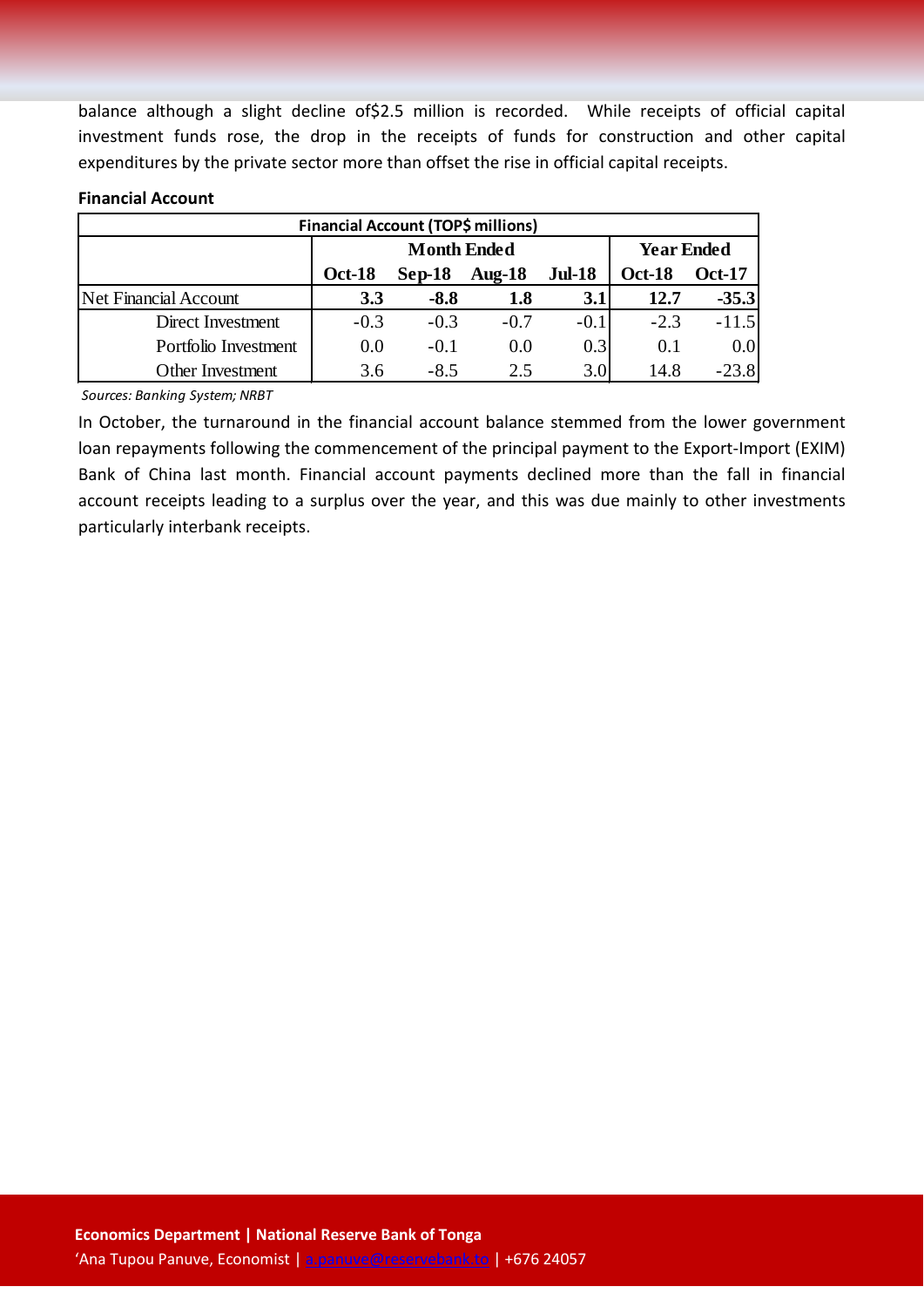balance although a slight decline of \$2.5 million is recorded. While receipts of official capital investment funds rose, the drop in the receipts of funds for construction and other capital expenditures by the private sector more than offset the rise in official capital receipts.

#### **Financial Account**

| <b>Financial Account (TOP\$ millions)</b> |                    |          |           |               |                   |               |  |
|-------------------------------------------|--------------------|----------|-----------|---------------|-------------------|---------------|--|
|                                           | <b>Month Ended</b> |          |           |               | <b>Year Ended</b> |               |  |
|                                           | <b>Oct-18</b>      | $Sep-18$ | Aug- $18$ | <b>Jul-18</b> | <b>Oct-18</b>     | <b>Oct-17</b> |  |
| Net Financial Account                     | 3.3                | $-8.8$   | 1.8       | 3.1           | 12.7              | $-35.3$       |  |
| Direct Investment                         | $-0.3$             | $-0.3$   | $-0.7$    | $-0.1$        | $-2.3$            | $-11.5$       |  |
| Portfolio Investment                      | 0.0                | $-0.1$   | 0.0       | 0.3           | 0.1               | 0.0           |  |
| <b>Other Investment</b>                   | 3.6                | $-8.5$   | 2.5       | 3.0           | 14.8              | $-23.8$       |  |

*Sources: Banking System; NRBT*

In October, the turnaround in the financial account balance stemmed from the lower government loan repayments following the commencement of the principal payment to the Export-Import (EXIM) Bank of China last month. Financial account payments declined more than the fall in financial account receipts leading to a surplus over the year, and this was due mainly to other investments particularly interbank receipts.